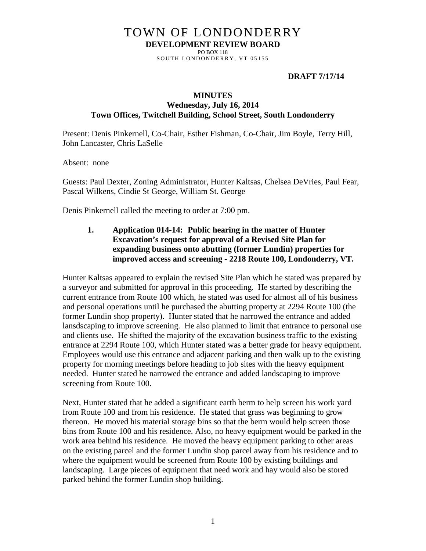# TOWN OF LONDONDERRY **DEVELOPMENT REVIEW BOARD**

PO BOX 118 SOUTH LONDONDERRY, VT 05155

#### **DRAFT 7/17/14**

#### **MINUTES**

#### **Wednesday, July 16, 2014 Town Offices, Twitchell Building, School Street, South Londonderry**

Present: Denis Pinkernell, Co-Chair, Esther Fishman, Co-Chair, Jim Boyle, Terry Hill, John Lancaster, Chris LaSelle

Absent: none

Guests: Paul Dexter, Zoning Administrator, Hunter Kaltsas, Chelsea DeVries, Paul Fear, Pascal Wilkens, Cindie St George, William St. George

Denis Pinkernell called the meeting to order at 7:00 pm.

**1. Application 014-14: Public hearing in the matter of Hunter Excavation's request for approval of a Revised Site Plan for expanding business onto abutting (former Lundin) properties for improved access and screening - 2218 Route 100, Londonderry, VT.** 

Hunter Kaltsas appeared to explain the revised Site Plan which he stated was prepared by a surveyor and submitted for approval in this proceeding. He started by describing the current entrance from Route 100 which, he stated was used for almost all of his business and personal operations until he purchased the abutting property at 2294 Route 100 (the former Lundin shop property). Hunter stated that he narrowed the entrance and added lansdscaping to improve screening. He also planned to limit that entrance to personal use and clients use. He shifted the majority of the excavation business traffic to the existing entrance at 2294 Route 100, which Hunter stated was a better grade for heavy equipment. Employees would use this entrance and adjacent parking and then walk up to the existing property for morning meetings before heading to job sites with the heavy equipment needed. Hunter stated he narrowed the entrance and added landscaping to improve screening from Route 100.

Next, Hunter stated that he added a significant earth berm to help screen his work yard from Route 100 and from his residence. He stated that grass was beginning to grow thereon. He moved his material storage bins so that the berm would help screen those bins from Route 100 and his residence. Also, no heavy equipment would be parked in the work area behind his residence. He moved the heavy equipment parking to other areas on the existing parcel and the former Lundin shop parcel away from his residence and to where the equipment would be screened from Route 100 by existing buildings and landscaping. Large pieces of equipment that need work and hay would also be stored parked behind the former Lundin shop building.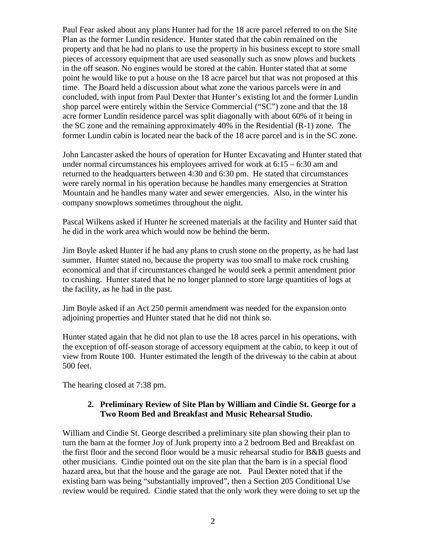Paul Fear asked about any plans Hunter had for the 18 acre parcel referred to on the Site Plan as the former Lundin residence. Hunter stated that the cabin remained on the property and that he had no plans to use the property in his business except to store small pieces of accessory equipment that are used seasonally such as snow plows and buckets in the off season. No engines would be stored at the cabin. Hunter stated that at some point he would like to put a house on the 18 acre parcel but that was not proposed at this time. The Board held a discussion about what zone the various parcels were in and concluded, with input from Paul Dexter that Hunter's existing lot and the former Lundin shop parcel were entirely within the Service Commercial ("SC") zone and that the 18 acre former Lundin residence parcel was split diagonally with about 60% of it being in the SC zone and the remaining approximately 40% in the Residential (R-1) zone. The former Lundin cabin is located near the back of the 18 acre parcel and is in the SC zone.

John Lancaster asked the hours of operation for Hunter Excavating and Hunter stated that under normal circumstances his employees arrived for work at  $6:15 - 6:30$  am and returned to the headquarters between 4:30 and 6:30 pm. He stated that circumstances were rarely normal in his operation because he handles many emergencies at Stratton Mountain and he handles many water and sewer emergencies. Also, in the winter his company snowplows sometimes throughout the night.

Pascal Wilkens asked if Hunter he screened materials at the facility and Hunter said that he did in the work area which would now be behind the berm.

Jim Boyle asked Hunter if he had any plans to crush stone on the property, as he had last summer. Hunter stated no, because the property was too small to make rock crushing economical and that if circumstances changed he would seek a permit amendment prior to crushing. Hunter stated that he no longer planned to store large quantities of logs at the facility, as he had in the past.

Jim Boyle asked if an Act 250 permit amendment was needed for the expansion onto adjoining properties and Hunter stated that he did not think so.

Hunter stated again that he did not plan to use the 18 acres parcel in his operations, with the exception of off-season storage of accessory equipment at the cabin, to keep it out of view from Route 100. Hunter estimated the length of the driveway to the cabin at about 500 feet.

The hearing closed at 7:38 pm.

#### **2. Preliminary Review of Site Plan by William and Cindie St. George for a Two Room Bed and Breakfast and Music Rehearsal Studio.**

William and Cindie St. George described a preliminary site plan showing their plan to turn the barn at the former Joy of Junk property into a 2 bedroom Bed and Breakfast on the first floor and the second floor would be a music rehearsal studio for B&B guests and other musicians. Cindie pointed out on the site plan that the barn is in a special flood hazard area, but that the house and the garage are not. Paul Dexter noted that if the existing barn was being "substantially improved", then a Section 205 Conditional Use review would be required. Cindie stated that the only work they were doing to set up the